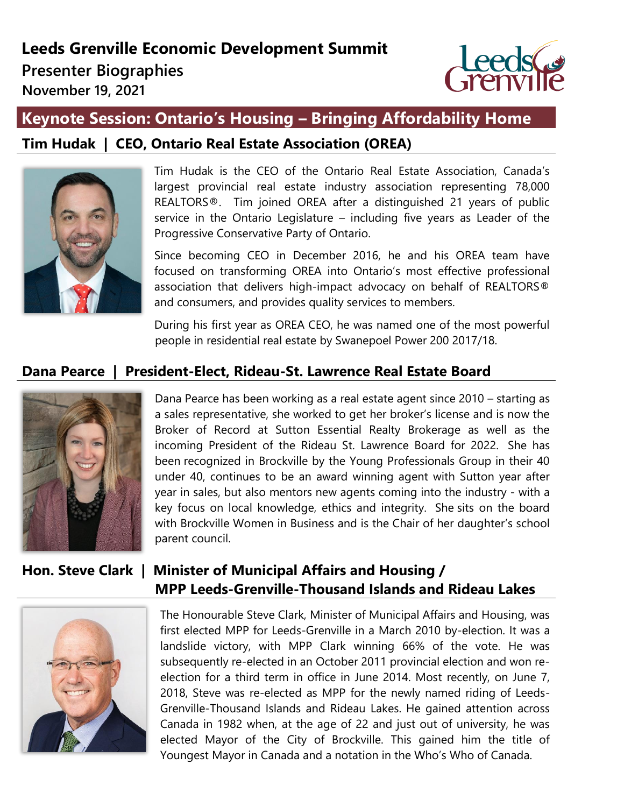# **Leeds Grenville Economic Development Summit**

**Presenter Biographies** 

**November 19, 2021**



# **Keynote Session: Ontario's Housing – Bringing Affordability Home**

# **Tim Hudak | CEO, Ontario Real Estate Association (OREA)**



Tim Hudak is the CEO of the Ontario Real Estate Association, Canada's largest provincial real estate industry association representing 78,000 REALTORS®. Tim joined OREA after a distinguished 21 years of public service in the Ontario Legislature – including five years as Leader of the Progressive Conservative Party of Ontario.

Since becoming CEO in December 2016, he and his OREA team have focused on transforming OREA into Ontario's most effective professional association that delivers high-impact advocacy on behalf of REALTORS® and consumers, and provides quality services to members.

During his first year as OREA CEO, he was named one of the most powerful people in residential real estate by Swanepoel Power 200 2017/18.

# **Dana Pearce | President-Elect, Rideau-St. Lawrence Real Estate Board**



Dana Pearce has been working as a real estate agent since 2010 – starting as a sales representative, she worked to get her broker's license and is now the Broker of Record at Sutton Essential Realty Brokerage as well as the incoming President of the Rideau St. Lawrence Board for 2022. She has been recognized in Brockville by the Young Professionals Group in their 40 under 40, continues to be an award winning agent with Sutton year after year in sales, but also mentors new agents coming into the industry - with a key focus on local knowledge, ethics and integrity. She sits on the board with Brockville Women in Business and is the Chair of her daughter's school parent council.

# **Hon. Steve Clark | Minister of Municipal Affairs and Housing / MPP Leeds-Grenville-Thousand Islands and Rideau Lakes**



The Honourable Steve Clark, Minister of Municipal Affairs and Housing, was first elected MPP for Leeds-Grenville in a March 2010 by-election. It was a landslide victory, with MPP Clark winning 66% of the vote. He was subsequently re-elected in an October 2011 provincial election and won reelection for a third term in office in June 2014. Most recently, on June 7, 2018, Steve was re-elected as MPP for the newly named riding of Leeds-Grenville-Thousand Islands and Rideau Lakes. He gained attention across Canada in 1982 when, at the age of 22 and just out of university, he was elected Mayor of the City of Brockville. This gained him the title of Youngest Mayor in Canada and a notation in the Who's Who of Canada.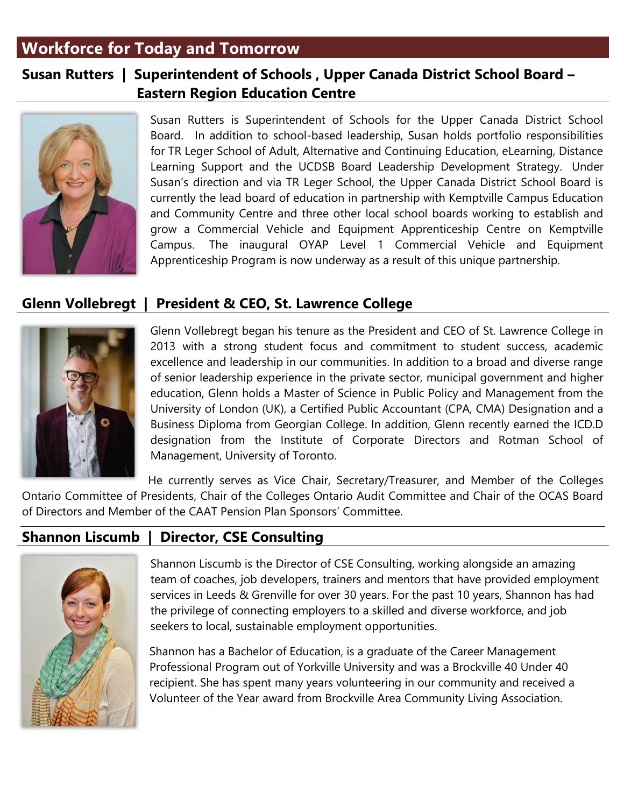# **Workforce for Today and Tomorrow**

# **Susan Rutters | Superintendent of Schools , Upper Canada District School Board – Eastern Region Education Centre**



Susan Rutters is Superintendent of Schools for the Upper Canada District School Board. In addition to school-based leadership, Susan holds portfolio responsibilities for TR Leger School of Adult, Alternative and Continuing Education, eLearning, Distance Learning Support and the UCDSB Board Leadership Development Strategy. Under Susan's direction and via TR Leger School, the Upper Canada District School Board is currently the lead board of education in partnership with Kemptville Campus Education and Community Centre and three other local school boards working to establish and grow a Commercial Vehicle and Equipment Apprenticeship Centre on Kemptville Campus. The inaugural OYAP Level 1 Commercial Vehicle and Equipment Apprenticeship Program is now underway as a result of this unique partnership.

# **Glenn Vollebregt | President & CEO, St. Lawrence College**



Glenn Vollebregt began his tenure as the President and CEO of St. Lawrence College in 2013 with a strong student focus and commitment to student success, academic excellence and leadership in our communities. In addition to a broad and diverse range of senior leadership experience in the private sector, municipal government and higher education, Glenn holds a Master of Science in Public Policy and Management from the University of London (UK), a Certified Public Accountant (CPA, CMA) Designation and a Business Diploma from Georgian College. In addition, Glenn recently earned the ICD.D designation from the Institute of Corporate Directors and Rotman School of Management, University of Toronto.

He currently serves as Vice Chair, Secretary/Treasurer, and Member of the Colleges Ontario Committee of Presidents, Chair of the Colleges Ontario Audit Committee and Chair of the OCAS Board of Directors and Member of the CAAT Pension Plan Sponsors' Committee.

# **Shannon Liscumb | Director, CSE Consulting**



Shannon Liscumb is the Director of CSE Consulting, working alongside an amazing team of coaches, job developers, trainers and mentors that have provided employment services in Leeds & Grenville for over 30 years. For the past 10 years, Shannon has had the privilege of connecting employers to a skilled and diverse workforce, and job seekers to local, sustainable employment opportunities.

Shannon has a Bachelor of Education, is a graduate of the Career Management Professional Program out of Yorkville University and was a Brockville 40 Under 40 recipient. She has spent many years volunteering in our community and received a Volunteer of the Year award from Brockville Area Community Living Association.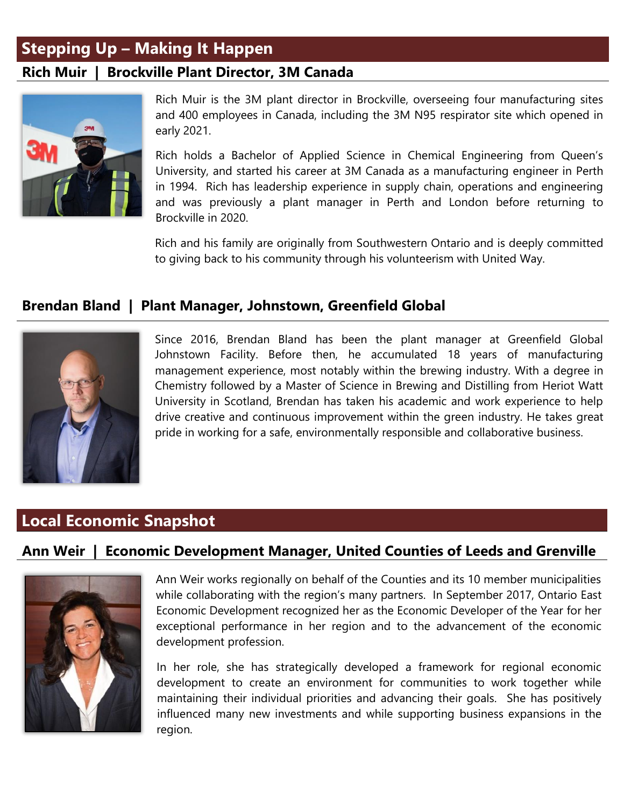# **Stepping Up – Making It Happen**

## **Rich Muir | Brockville Plant Director, 3M Canada**



Rich Muir is the 3M plant director in Brockville, overseeing four manufacturing sites and 400 employees in Canada, including the 3M N95 respirator site which opened in early 2021.

Rich holds a Bachelor of Applied Science in Chemical Engineering from Queen's University, and started his career at 3M Canada as a manufacturing engineer in Perth in 1994. Rich has leadership experience in supply chain, operations and engineering and was previously a plant manager in Perth and London before returning to Brockville in 2020.

Rich and his family are originally from Southwestern Ontario and is deeply committed to giving back to his community through his volunteerism with United Way.

## **Brendan Bland | Plant Manager, Johnstown, Greenfield Global**



Since 2016, Brendan Bland has been the plant manager at Greenfield Global Johnstown Facility. Before then, he accumulated 18 years of manufacturing management experience, most notably within the brewing industry. With a degree in Chemistry followed by a Master of Science in Brewing and Distilling from Heriot Watt University in Scotland, Brendan has taken his academic and work experience to help drive creative and continuous improvement within the green industry. He takes great pride in working for a safe, environmentally responsible and collaborative business.

# **Local Economic Snapshot**

# **Ann Weir | Economic Development Manager, United Counties of Leeds and Grenville**



Ann Weir works regionally on behalf of the Counties and its 10 member municipalities while collaborating with the region's many partners. In September 2017, Ontario East Economic Development recognized her as the Economic Developer of the Year for her exceptional performance in her region and to the advancement of the economic development profession.

In her role, she has strategically developed a framework for regional economic development to create an environment for communities to work together while maintaining their individual priorities and advancing their goals. She has positively influenced many new investments and while supporting business expansions in the region.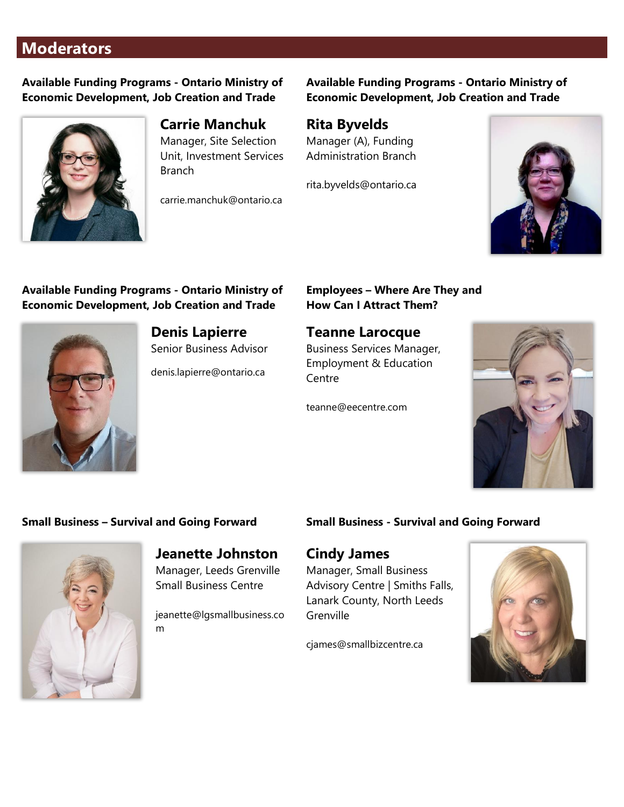# **Moderators**

**Available Funding Programs - Ontario Ministry of Economic Development, Job Creation and Trade**



### **Carrie Manchuk**

Manager, Site Selection Unit, Investment Services Branch

carrie.manchuk@ontario.ca

#### **Available Funding Programs - Ontario Ministry of Economic Development, Job Creation and Trade**

# **Rita Byvelds**

Manager (A), Funding Administration Branch

rita.byvelds@ontario.ca



#### **Available Funding Programs - Ontario Ministry of Economic Development, Job Creation and Trade**



**Denis Lapierre** Senior Business Advisor

denis.lapierre@ontario.ca

#### **Employees – Where Are They and How Can I Attract Them?**

#### **Teanne Larocque**

Business Services Manager, Employment & Education Centre

teanne@eecentre.com



#### **Small Business – Survival and Going Forward**



**Jeanette Johnston** Manager, Leeds Grenville Small Business Centre

jeanette@lgsmallbusiness.co m

#### **Small Business - Survival and Going Forward**

### **Cindy James**

Manager, Small Business Advisory Centre | Smiths Falls, Lanark County, North Leeds **Grenville** 

cjames@smallbizcentre.ca